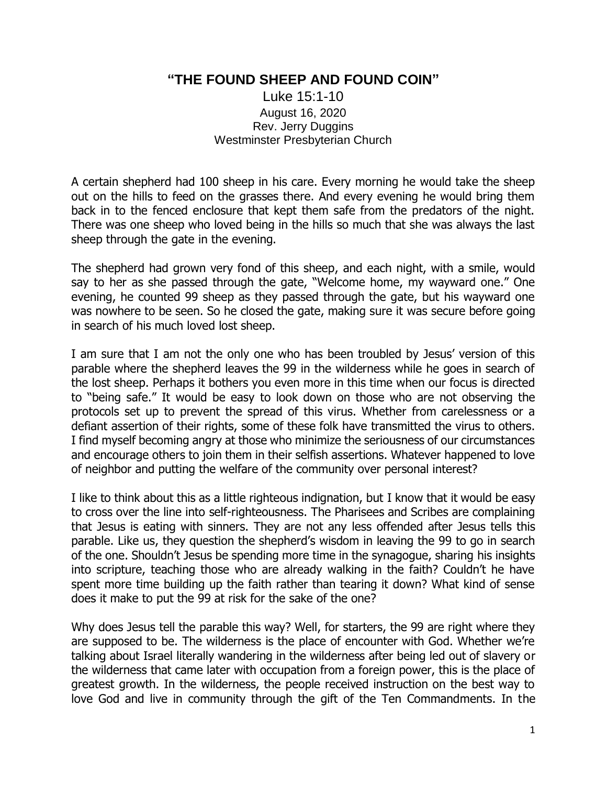## **"THE FOUND SHEEP AND FOUND COIN"**

Luke 15:1-10 August 16, 2020 Rev. Jerry Duggins Westminster Presbyterian Church

A certain shepherd had 100 sheep in his care. Every morning he would take the sheep out on the hills to feed on the grasses there. And every evening he would bring them back in to the fenced enclosure that kept them safe from the predators of the night. There was one sheep who loved being in the hills so much that she was always the last sheep through the gate in the evening.

The shepherd had grown very fond of this sheep, and each night, with a smile, would say to her as she passed through the gate, "Welcome home, my wayward one." One evening, he counted 99 sheep as they passed through the gate, but his wayward one was nowhere to be seen. So he closed the gate, making sure it was secure before going in search of his much loved lost sheep.

I am sure that I am not the only one who has been troubled by Jesus' version of this parable where the shepherd leaves the 99 in the wilderness while he goes in search of the lost sheep. Perhaps it bothers you even more in this time when our focus is directed to "being safe." It would be easy to look down on those who are not observing the protocols set up to prevent the spread of this virus. Whether from carelessness or a defiant assertion of their rights, some of these folk have transmitted the virus to others. I find myself becoming angry at those who minimize the seriousness of our circumstances and encourage others to join them in their selfish assertions. Whatever happened to love of neighbor and putting the welfare of the community over personal interest?

I like to think about this as a little righteous indignation, but I know that it would be easy to cross over the line into self-righteousness. The Pharisees and Scribes are complaining that Jesus is eating with sinners. They are not any less offended after Jesus tells this parable. Like us, they question the shepherd's wisdom in leaving the 99 to go in search of the one. Shouldn't Jesus be spending more time in the synagogue, sharing his insights into scripture, teaching those who are already walking in the faith? Couldn't he have spent more time building up the faith rather than tearing it down? What kind of sense does it make to put the 99 at risk for the sake of the one?

Why does Jesus tell the parable this way? Well, for starters, the 99 are right where they are supposed to be. The wilderness is the place of encounter with God. Whether we're talking about Israel literally wandering in the wilderness after being led out of slavery or the wilderness that came later with occupation from a foreign power, this is the place of greatest growth. In the wilderness, the people received instruction on the best way to love God and live in community through the gift of the Ten Commandments. In the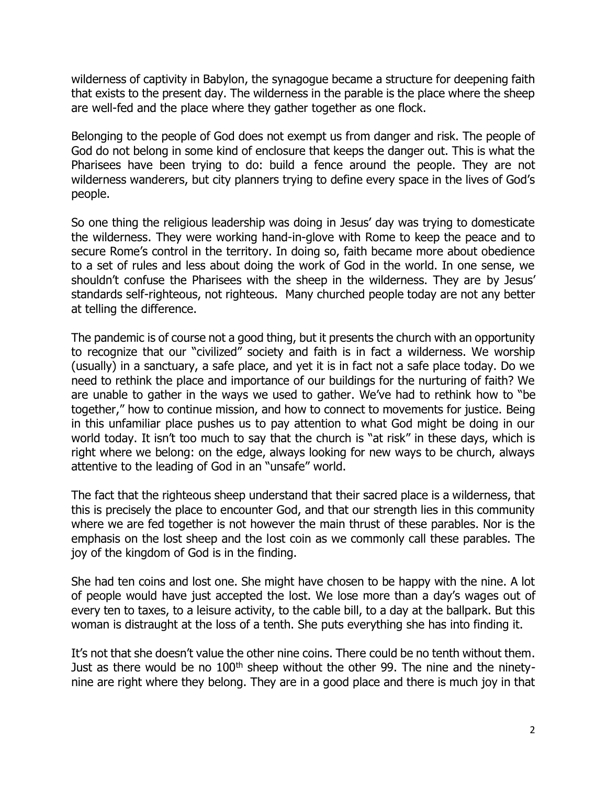wilderness of captivity in Babylon, the synagogue became a structure for deepening faith that exists to the present day. The wilderness in the parable is the place where the sheep are well-fed and the place where they gather together as one flock.

Belonging to the people of God does not exempt us from danger and risk. The people of God do not belong in some kind of enclosure that keeps the danger out. This is what the Pharisees have been trying to do: build a fence around the people. They are not wilderness wanderers, but city planners trying to define every space in the lives of God's people.

So one thing the religious leadership was doing in Jesus' day was trying to domesticate the wilderness. They were working hand-in-glove with Rome to keep the peace and to secure Rome's control in the territory. In doing so, faith became more about obedience to a set of rules and less about doing the work of God in the world. In one sense, we shouldn't confuse the Pharisees with the sheep in the wilderness. They are by Jesus' standards self-righteous, not righteous. Many churched people today are not any better at telling the difference.

The pandemic is of course not a good thing, but it presents the church with an opportunity to recognize that our "civilized" society and faith is in fact a wilderness. We worship (usually) in a sanctuary, a safe place, and yet it is in fact not a safe place today. Do we need to rethink the place and importance of our buildings for the nurturing of faith? We are unable to gather in the ways we used to gather. We've had to rethink how to "be together," how to continue mission, and how to connect to movements for justice. Being in this unfamiliar place pushes us to pay attention to what God might be doing in our world today. It isn't too much to say that the church is "at risk" in these days, which is right where we belong: on the edge, always looking for new ways to be church, always attentive to the leading of God in an "unsafe" world.

The fact that the righteous sheep understand that their sacred place is a wilderness, that this is precisely the place to encounter God, and that our strength lies in this community where we are fed together is not however the main thrust of these parables. Nor is the emphasis on the lost sheep and the lost coin as we commonly call these parables. The joy of the kingdom of God is in the finding.

She had ten coins and lost one. She might have chosen to be happy with the nine. A lot of people would have just accepted the lost. We lose more than a day's wages out of every ten to taxes, to a leisure activity, to the cable bill, to a day at the ballpark. But this woman is distraught at the loss of a tenth. She puts everything she has into finding it.

It's not that she doesn't value the other nine coins. There could be no tenth without them. Just as there would be no 100<sup>th</sup> sheep without the other 99. The nine and the ninetynine are right where they belong. They are in a good place and there is much joy in that